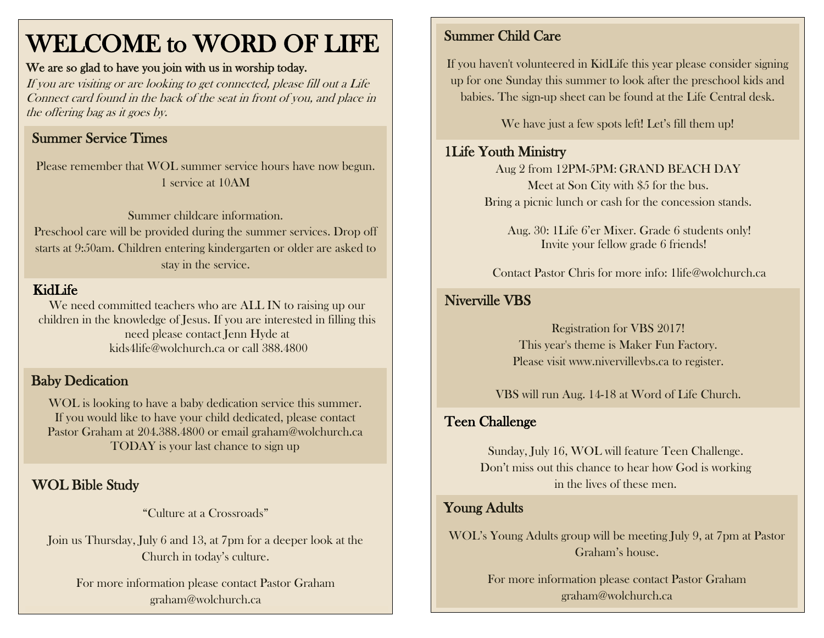# WELCOME to WORD OF LIFE

#### We are so glad to have you join with us in worship today.

If you are visiting or are looking to get connected, please fill out a Life Connect card found in the back of the seat in front of you, and place in the offering bag as it goes by.

# Summer Service Times

Please remember that WOL summer service hours have now begun. 1 service at 10AM

Summer childcare information. Preschool care will be provided during the summer services. Drop off starts at 9:50am. Children entering kindergarten or older are asked to stay in the service.

#### KidLife

We need committed teachers who are ALL IN to raising up our children in the knowledge of Jesus. If you are interested in filling this need please contact Jenn Hyde at [kids4life@wolchurch.ca](mailto:kids4life@wolchurch.ca) or call 388.4800

#### Baby Dedication

WOL is looking to have a baby dedication service this summer. If you would like to have your child dedicated, please contact Pastor Graham at 204.388.4800 or email graham@wolchurch.ca TODAY is your last chance to sign up

# WOL Bible Study

"Culture at a Crossroads"

Join us Thursday, July 6 and 13, at 7pm for a deeper look at the Church in today's culture.

For more information please contact Pastor Graham graham@wolchurch.ca

#### Summer Child Care

If you haven't volunteered in KidLife this year please consider signing up for one Sunday this summer to look after the preschool kids and babies. The sign-up sheet can be found at the Life Central desk.

We have just a few spots left! Let's fill them up!

#### 1Life Youth Ministry

Aug 2 from 12PM-5PM: GRAND BEACH DAY Meet at Son City with \$5 for the bus. Bring a picnic lunch or cash for the concession stands.

Aug. 30: 1Life 6'er Mixer. Grade 6 students only! Invite your fellow grade 6 friends!

Contact Pastor Chris for more info: [1life@wolchurch.ca](mailto:1life@wolchurch.ca)

### Niverville VBS

Registration for VBS 2017! This year's theme is Maker Fun Factory. Please visit www.nivervillevbs.ca to register.

VBS will run Aug. 14-18 at Word of Life Church.

# Teen Challenge

Sunday, July 16, WOL will feature Teen Challenge. Don't miss out this chance to hear how God is working in the lives of these men.

#### Young Adults

WOL's Young Adults group will be meeting July 9, at 7pm at Pastor Graham's house.

> For more information please contact Pastor Graham graham@wolchurch.ca